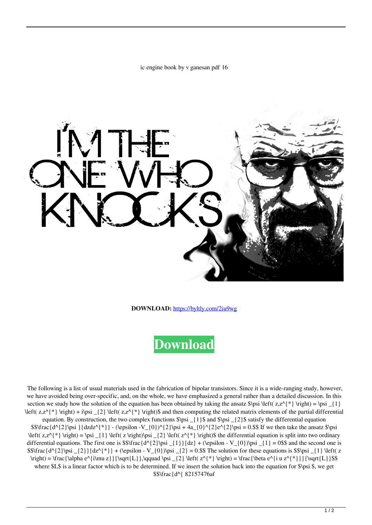ic engine book by v ganesan pdf 16



**DOWNLOAD:** <https://byltly.com/2iu9wg>



 The following is a list of usual materials used in the fabrication of bipolar transistors. Since it is a wide-ranging study, however, we have avoided being over-specific, and, on the whole, we have emphasized a general rather than a detailed discussion. In this section we study how the solution of the equation has been obtained by taking the ansatz  $\pi \left( z, z^{\*} \right) = \psi \left( z, z^{\*} \right) = \psi \left( z, z^{\*} \right)$  $\left( z, z^*(*) \right) + i\psi \leq 2$  left( z,z^{\*} \right)\$ and then computing the related matrix elements of the partial differential equation. By construction, the two complex functions  $\psi_i = \{1\}$  and  $\psi_i = \{2\}$  satisfy the differential equation  $$ \frac{d^{2}\psi }{dzdz^{\*}} - (\epsilon - V_{0})^{2}\psi + 4a_{0}^{2}e^{2}\psi = 0.$  If we then take the ansatz  $\psi$  $\left(z, z^{\*} \right) = \psi_{1} \left(z \right) \psi_{2} \left(z, z^{\*} \right)$ differential equations. The first one is  $\frac{d^{2}\psi _{1}}{dz} + \epsilon \frac{-0}{\psi _{1}} = 0$  and the second one is  $$$ \frac{d^{2}}\psi _{2}}{dz^{*}} + (\epsilon V_{0})\psi _{2} = 0.$ \$\$ The solution for these equations is \$\$\psi {1} \left( z  $\rightarrow - \frac{\alpha e^{\infty z}}{\sqrt{L}}\,qquad \cos \left( z^* \right) = \frac{\beta e^{\infty z} - \frac{z^*}{\sqrt{L}}}{\sqrt{L}}$ where \$L\$ is a linear factor which is to be determined. If we insert the solution back into the equation for \$\psi \$, we get \$\$\frac{d^{ 82157476af